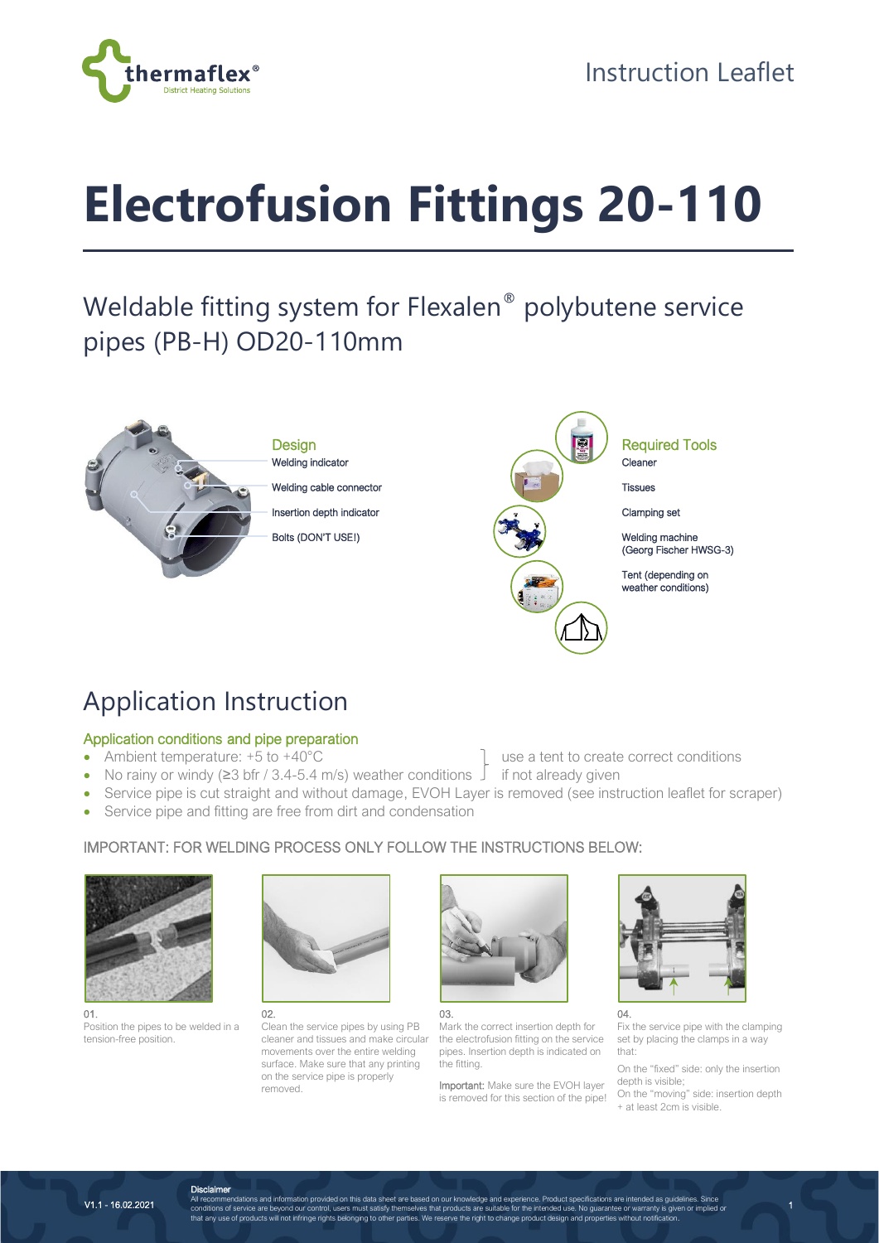

# **Electrofusion Fittings 20-110**

# Weldable fitting system for Flexalen® polybutene service pipes (PB-H) OD20-110mm



# Application Instruction

## Application conditions and pipe preparation

- Ambient temperature: +5 to +40°C use a tent to create correct conditions
- No rainy or windy (≥3 bfr / 3.4-5.4 m/s) weather conditions  $\frac{1}{2}$  if not already given
- Service pipe is cut straight and without damage, EVOH Layer is removed (see instruction leaflet for scraper)
- Service pipe and fitting are free from dirt and condensation

## IMPORTANT: FOR WELDING PROCESS ONLY FOLLOW THE INSTRUCTIONS BELOW:



01. Position the pipes to be welded in a tension-free position.



#### 02.

Clean the service pipes by using PB cleaner and tissues and make circular movements over the entire welding surface. Make sure that any printing on the service pipe is properly removed.



03.

Mark the correct insertion depth for the electrofusion fitting on the service pipes. Insertion depth is indicated on the fitting.

Important: Make sure the EVOH layer is removed for this section of the pipe!



Fix the service pipe with the clamping set by placing the clamps in a way

that: On the "fixed" side: only the insertion

depth is visible; On the "moving" side: insertion depth + at least 2cm is visible.

1

V1.1 - 16.02.2021

**Disclaimer**<br>All recommendations and information provided on this data sheet are based on our knowledge and experience. Product specifications are intended as guidelines. Since<br>conditions of service are beyond our control,